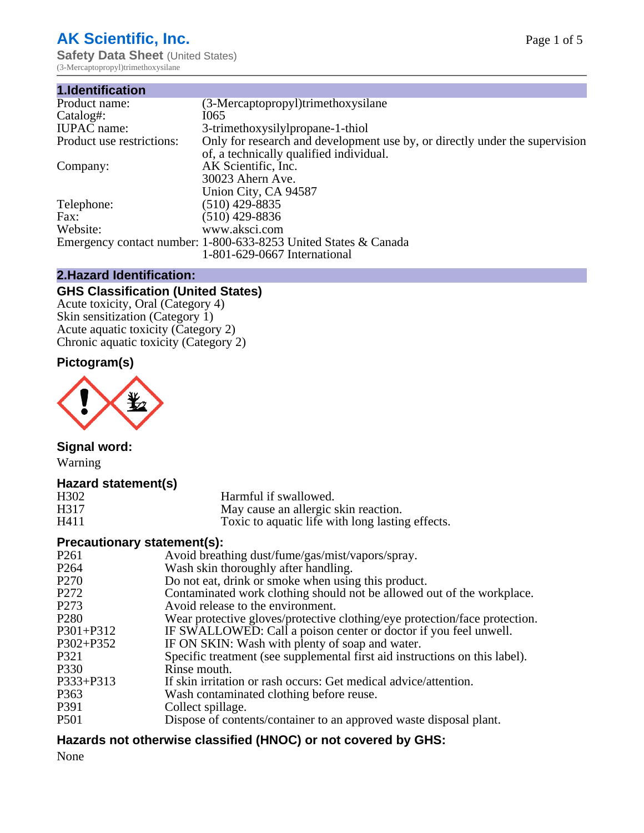# **AK Scientific, Inc.**

**Safety Data Sheet (United States)** (3-Mercaptopropyl)trimethoxysilane

| 1.Identification          |                                                                             |
|---------------------------|-----------------------------------------------------------------------------|
| Product name:             | (3-Mercaptopropyl)trimethoxysilane                                          |
| Catalog#:                 | I065                                                                        |
| <b>IUPAC</b> name:        | 3-trimethoxysilylpropane-1-thiol                                            |
| Product use restrictions: | Only for research and development use by, or directly under the supervision |
|                           | of, a technically qualified individual.                                     |
| Company:                  | AK Scientific, Inc.                                                         |
|                           | 30023 Ahern Ave.                                                            |
|                           | Union City, CA 94587                                                        |
| Telephone:                | $(510)$ 429-8835                                                            |
| Fax:                      | $(510)$ 429-8836                                                            |
| Website:                  | www.aksci.com                                                               |
|                           | Emergency contact number: 1-800-633-8253 United States & Canada             |
|                           | 1-801-629-0667 International                                                |

# **2.Hazard Identification:**

# **GHS Classification (United States)**

Acute toxicity, Oral (Category 4) Skin sensitization (Category 1) Acute aquatic toxicity (Category 2) Chronic aquatic toxicity (Category 2)

# **Pictogram(s)**



**Signal word:** Warning

# **Hazard statement(s)**

| H <sub>3</sub> 02 | Harmful if swallowed.                            |
|-------------------|--------------------------------------------------|
| H317              | May cause an allergic skin reaction.             |
| H411              | Toxic to aquatic life with long lasting effects. |

# **Precautionary statement(s):**

| P <sub>261</sub> | Avoid breathing dust/fume/gas/mist/vapors/spray.                            |
|------------------|-----------------------------------------------------------------------------|
| P <sub>264</sub> | Wash skin thoroughly after handling.                                        |
| P <sub>270</sub> | Do not eat, drink or smoke when using this product.                         |
| P <sub>272</sub> | Contaminated work clothing should not be allowed out of the workplace.      |
| P <sub>273</sub> | Avoid release to the environment.                                           |
| P <sub>280</sub> | Wear protective gloves/protective clothing/eye protection/face protection.  |
| P301+P312        | IF SWALLOWED: Call a poison center or doctor if you feel unwell.            |
| $P302 + P352$    | IF ON SKIN: Wash with plenty of soap and water.                             |
| P321             | Specific treatment (see supplemental first aid instructions on this label). |
| P330             | Rinse mouth.                                                                |
| $P333 + P313$    | If skin irritation or rash occurs: Get medical advice/attention.            |
| P <sub>363</sub> | Wash contaminated clothing before reuse.                                    |
| P391             | Collect spillage.                                                           |
| <b>P501</b>      | Dispose of contents/container to an approved waste disposal plant.          |
|                  |                                                                             |

# **Hazards not otherwise classified (HNOC) or not covered by GHS:**

None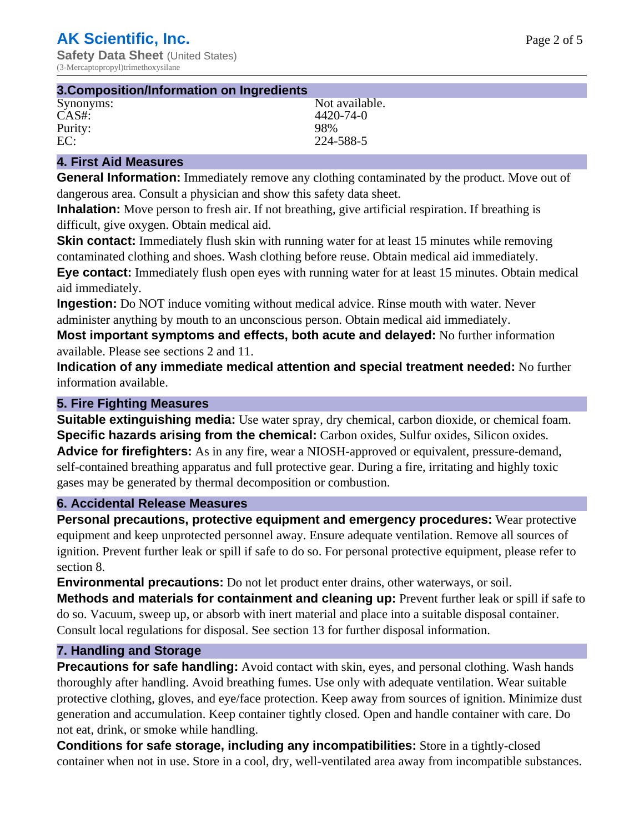| 3. Composition/Information on Ingredients |                |
|-------------------------------------------|----------------|
| Synonyms:                                 | Not available. |
| CAS#                                      | 4420-74-0      |
| Purity:                                   | 98%            |
| EC:                                       | 224-588-5      |

# **4. First Aid Measures**

**General Information:** Immediately remove any clothing contaminated by the product. Move out of dangerous area. Consult a physician and show this safety data sheet.

**Inhalation:** Move person to fresh air. If not breathing, give artificial respiration. If breathing is difficult, give oxygen. Obtain medical aid.

**Skin contact:** Immediately flush skin with running water for at least 15 minutes while removing contaminated clothing and shoes. Wash clothing before reuse. Obtain medical aid immediately. **Eye contact:** Immediately flush open eyes with running water for at least 15 minutes. Obtain medical aid immediately.

**Ingestion:** Do NOT induce vomiting without medical advice. Rinse mouth with water. Never administer anything by mouth to an unconscious person. Obtain medical aid immediately.

**Most important symptoms and effects, both acute and delayed:** No further information available. Please see sections 2 and 11.

**Indication of any immediate medical attention and special treatment needed:** No further information available.

### **5. Fire Fighting Measures**

**Suitable extinguishing media:** Use water spray, dry chemical, carbon dioxide, or chemical foam. **Specific hazards arising from the chemical:** Carbon oxides, Sulfur oxides, Silicon oxides. **Advice for firefighters:** As in any fire, wear a NIOSH-approved or equivalent, pressure-demand, self-contained breathing apparatus and full protective gear. During a fire, irritating and highly toxic gases may be generated by thermal decomposition or combustion.

#### **6. Accidental Release Measures**

**Personal precautions, protective equipment and emergency procedures:** Wear protective equipment and keep unprotected personnel away. Ensure adequate ventilation. Remove all sources of ignition. Prevent further leak or spill if safe to do so. For personal protective equipment, please refer to section 8.

**Environmental precautions:** Do not let product enter drains, other waterways, or soil.

**Methods and materials for containment and cleaning up:** Prevent further leak or spill if safe to do so. Vacuum, sweep up, or absorb with inert material and place into a suitable disposal container. Consult local regulations for disposal. See section 13 for further disposal information.

#### **7. Handling and Storage**

**Precautions for safe handling:** Avoid contact with skin, eyes, and personal clothing. Wash hands thoroughly after handling. Avoid breathing fumes. Use only with adequate ventilation. Wear suitable protective clothing, gloves, and eye/face protection. Keep away from sources of ignition. Minimize dust generation and accumulation. Keep container tightly closed. Open and handle container with care. Do not eat, drink, or smoke while handling.

**Conditions for safe storage, including any incompatibilities:** Store in a tightly-closed container when not in use. Store in a cool, dry, well-ventilated area away from incompatible substances.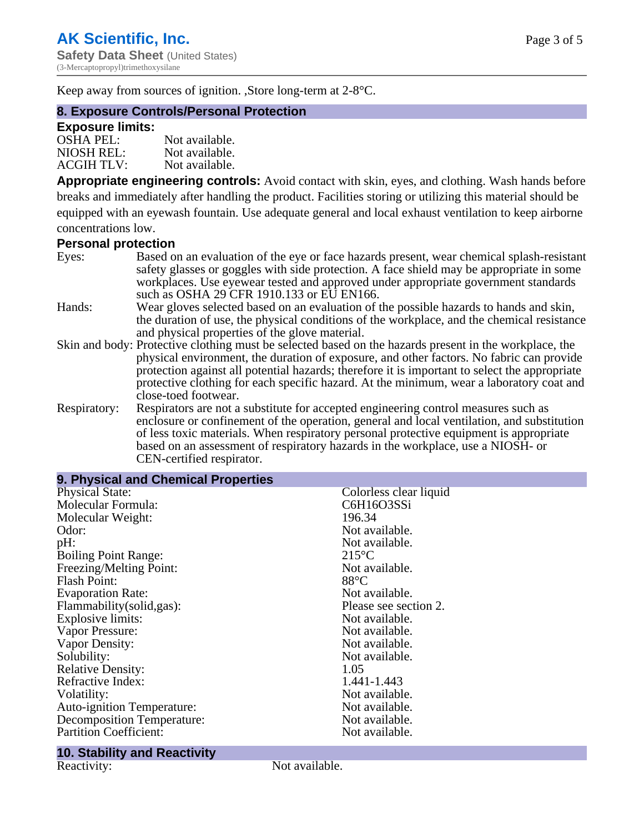Keep away from sources of ignition. ,Store long-term at 2-8°C.

#### **8. Exposure Controls/Personal Protection**

#### **Exposure limits:**

| $OSHA$ PEL:       | Not available. |
|-------------------|----------------|
| NIOSH REL:        | Not available. |
| <b>ACGIH TLV:</b> | Not available. |

**Appropriate engineering controls:** Avoid contact with skin, eyes, and clothing. Wash hands before breaks and immediately after handling the product. Facilities storing or utilizing this material should be equipped with an eyewash fountain. Use adequate general and local exhaust ventilation to keep airborne concentrations low.

# **Personal protection**

| Eyes:        | Based on an evaluation of the eye or face hazards present, wear chemical splash-resistant<br>safety glasses or goggles with side protection. A face shield may be appropriate in some                                                                                                                                                                         |
|--------------|---------------------------------------------------------------------------------------------------------------------------------------------------------------------------------------------------------------------------------------------------------------------------------------------------------------------------------------------------------------|
|              | workplaces. Use eyewear tested and approved under appropriate government standards<br>such as OSHA 29 CFR 1910.133 or EU EN166.                                                                                                                                                                                                                               |
| Hands:       | Wear gloves selected based on an evaluation of the possible hazards to hands and skin,<br>the duration of use, the physical conditions of the workplace, and the chemical resistance                                                                                                                                                                          |
|              | and physical properties of the glove material.<br>Skin and body: Protective clothing must be selected based on the hazards present in the workplace, the                                                                                                                                                                                                      |
|              | physical environment, the duration of exposure, and other factors. No fabric can provide<br>protection against all potential hazards; therefore it is important to select the appropriate<br>protective clothing for each specific hazard. At the minimum, wear a laboratory coat and<br>close-toed footwear.                                                 |
| Respiratory: | Respirators are not a substitute for accepted engineering control measures such as<br>enclosure or confinement of the operation, general and local ventilation, and substitution<br>of less toxic materials. When respiratory personal protective equipment is appropriate<br>based on an assessment of respiratory hazards in the workplace, use a NIOSH- or |

CEN-certified respirator.

| 9. Physical and Chemical Properties |                        |  |  |
|-------------------------------------|------------------------|--|--|
| <b>Physical State:</b>              | Colorless clear liquid |  |  |
| Molecular Formula:                  | C6H16O3SSi             |  |  |
| Molecular Weight:                   | 196.34                 |  |  |
| Odor:                               | Not available.         |  |  |
| pH:                                 | Not available.         |  |  |
| <b>Boiling Point Range:</b>         | $215^{\circ}$ C        |  |  |
| Freezing/Melting Point:             | Not available.         |  |  |
| <b>Flash Point:</b>                 | $88^{\circ}$ C         |  |  |
| <b>Evaporation Rate:</b>            | Not available.         |  |  |
| Flammability(solid,gas):            | Please see section 2.  |  |  |
| <b>Explosive limits:</b>            | Not available.         |  |  |
| Vapor Pressure:                     | Not available.         |  |  |
| Vapor Density:                      | Not available.         |  |  |
| Solubility:                         | Not available.         |  |  |
| <b>Relative Density:</b>            | 1.05                   |  |  |
| Refractive Index:                   | 1.441-1.443            |  |  |
| Volatility:                         | Not available.         |  |  |
| Auto-ignition Temperature:          | Not available.         |  |  |
| <b>Decomposition Temperature:</b>   | Not available.         |  |  |
| <b>Partition Coefficient:</b>       | Not available.         |  |  |

# **10. Stability and Reactivity**

Not available.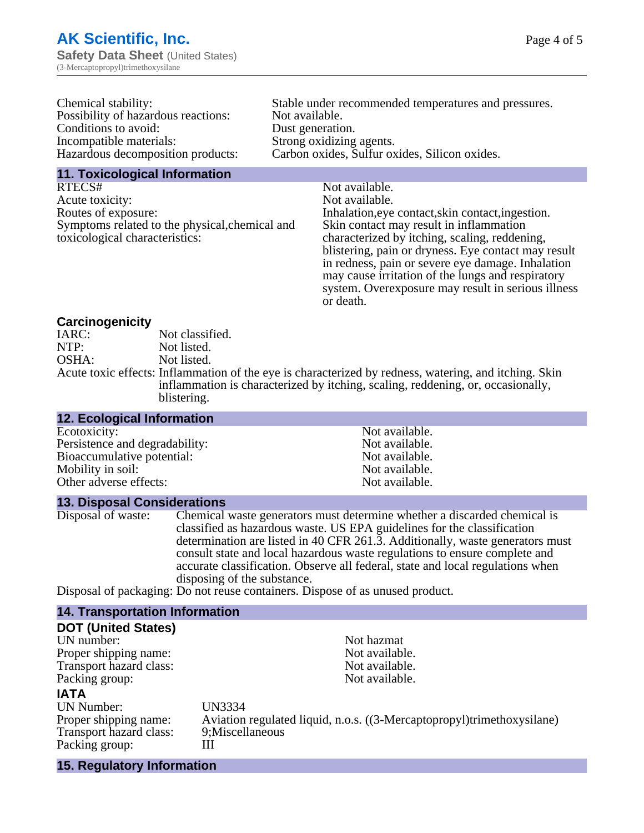| Chemical stability:                 | Stable under recommended temperatures and pressures. |
|-------------------------------------|------------------------------------------------------|
| Possibility of hazardous reactions: | Not available.                                       |
| Conditions to avoid:                | Dust generation.                                     |
| Incompatible materials:             | Strong oxidizing agents.                             |
| Hazardous decomposition products:   | Carbon oxides, Sulfur oxides, Silicon oxides.        |
| 11 Texicological Information        |                                                      |

**11. Toxicological Information**

RTECS# Not available. Acute toxicity: Not available. Routes of exposure: Inhalation, eye contact, skin contact, ingestion. Symptoms related to the physical,chemical and toxicological characteristics:

Skin contact may result in inflammation characterized by itching, scaling, reddening, blistering, pain or dryness. Eye contact may result in redness, pain or severe eye damage. Inhalation may cause irritation of the lungs and respiratory system. Overexposure may result in serious illness or death.

#### **Carcinogenicity**

| IARC: | Not classified.                                                                                       |
|-------|-------------------------------------------------------------------------------------------------------|
| NTP:  | Not listed.                                                                                           |
| OSHA: | Not listed.                                                                                           |
|       | Acute toxic effects: Inflammation of the eye is characterized by redness, watering, and itching. Skin |
|       | inflammation is characterized by itching, scaling, reddening, or, occasionally,                       |
|       | blistering.                                                                                           |

| <b>12. Ecological Information</b> |                |
|-----------------------------------|----------------|
| Ecotoxicity:                      | Not available. |
| Persistence and degradability:    | Not available. |
| Bioaccumulative potential:        | Not available. |
| Mobility in soil:                 | Not available. |
| Other adverse effects:            | Not available. |

#### **13. Disposal Considerations**

Disposal of waste: Chemical waste generators must determine whether a discarded chemical is classified as hazardous waste. US EPA guidelines for the classification determination are listed in 40 CFR 261.3. Additionally, waste generators must consult state and local hazardous waste regulations to ensure complete and accurate classification. Observe all federal, state and local regulations when disposing of the substance.

Disposal of packaging: Do not reuse containers. Dispose of as unused product.

| <b>14. Transportation Information</b> |                                                                        |
|---------------------------------------|------------------------------------------------------------------------|
| <b>DOT (United States)</b>            |                                                                        |
| UN number:                            | Not hazmat                                                             |
| Proper shipping name:                 | Not available.                                                         |
| Transport hazard class:               | Not available.                                                         |
| Packing group:                        | Not available.                                                         |
| <b>IATA</b>                           |                                                                        |
| UN Number:                            | <b>UN3334</b>                                                          |
| Proper shipping name:                 | Aviation regulated liquid, n.o.s. ((3-Mercaptopropyl)trimethoxysilane) |
| Transport hazard class:               | 9; Miscellaneous                                                       |
| Packing group:                        | Ш                                                                      |
| 15. Regulatory Information            |                                                                        |